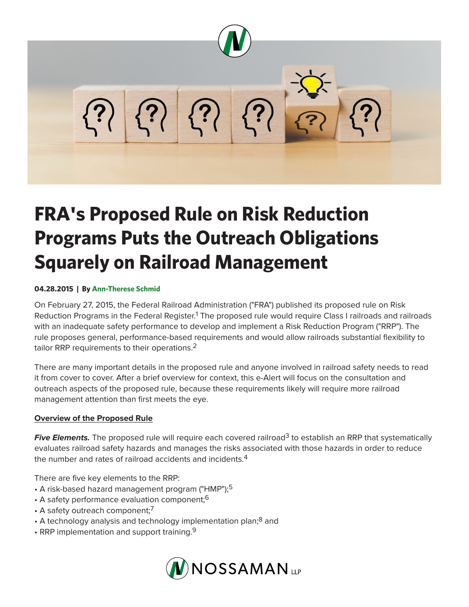

## **FRA's Proposed Rule on Risk Reduction Programs Puts the Outreach Obligations Squarely on Railroad Management**

## **04.28.2015 | By Ann-Therese Schmid**

On February 27, 2015, the Federal Railroad Administration ("FRA") published its proposed rule on Risk Reduction Programs in the Federal Register.<sup>1</sup> The proposed rule would require Class I railroads and railroads with an inadequate safety performance to develop and implement a Risk Reduction Program ("RRP"). The rule proposes general, performance-based requirements and would allow railroads substantial flexibility to tailor RRP requirements to their operations.<sup>2</sup>

There are many important details in the proposed rule and anyone involved in railroad safety needs to read it from cover to cover. After a brief overview for context, this e-Alert will focus on the consultation and outreach aspects of the proposed rule, because these requirements likely will require more railroad management attention than first meets the eye.

## **Overview of the Proposed Rule**

**Five Elements.** The proposed rule will require each covered railroad<sup>3</sup> to establish an RRP that systematically evaluates railroad safety hazards and manages the risks associated with those hazards in order to reduce the number and rates of railroad accidents and incidents.<sup>4</sup>

There are five key elements to the RRP:

- A risk-based hazard management program ("HMP");<sup>5</sup>
- A safety performance evaluation component;<sup>6</sup>
- $\cdot$  A safety outreach component;<sup>7</sup>
- A technology analysis and technology implementation plan;<sup>8</sup> and
- RRP implementation and support training. $9$

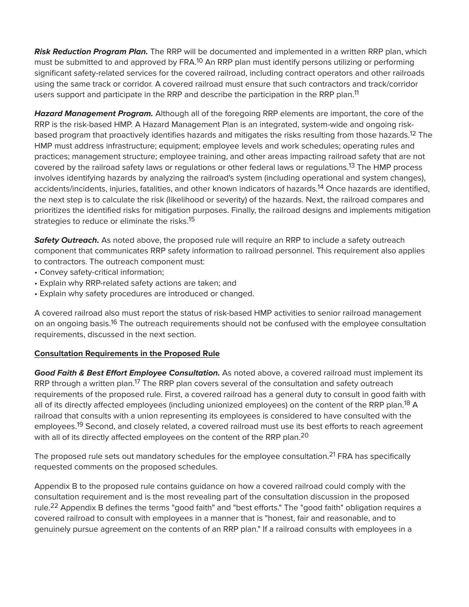*Risk Reduction Program Plan.* The RRP will be documented and implemented in a written RRP plan, which must be submitted to and approved by FRA.<sup>10</sup> An RRP plan must identify persons utilizing or performing significant safety-related services for the covered railroad, including contract operators and other railroads using the same track or corridor. A covered railroad must ensure that such contractors and track/corridor users support and participate in the RRP and describe the participation in the RRP plan.<sup>11</sup>

*Hazard Management Program.* Although all of the foregoing RRP elements are important, the core of the RRP is the risk-based HMP. A Hazard Management Plan is an integrated, system-wide and ongoing riskbased program that proactively identifies hazards and mitigates the risks resulting from those hazards.<sup>12</sup> The HMP must address infrastructure; equipment; employee levels and work schedules; operating rules and practices; management structure; employee training, and other areas impacting railroad safety that are not covered by the railroad safety laws or regulations or other federal laws or regulations.<sup>13</sup> The HMP process involves identifying hazards by analyzing the railroad's system (including operational and system changes), accidents/incidents, injuries, fatalities, and other known indicators of hazards.<sup>14</sup> Once hazards are identified, the next step is to calculate the risk (likelihood or severity) of the hazards. Next, the railroad compares and prioritizes the identified risks for mitigation purposes. Finally, the railroad designs and implements mitigation strategies to reduce or eliminate the risks.<sup>15</sup>

**Safety Outreach.** As noted above, the proposed rule will require an RRP to include a safety outreach component that communicates RRP safety information to railroad personnel. This requirement also applies to contractors. The outreach component must:

- Convey safety-critical information;
- Explain why RRP-related safety actions are taken; and
- Explain why safety procedures are introduced or changed.

A covered railroad also must report the status of risk-based HMP activities to senior railroad management on an ongoing basis.<sup>16</sup> The outreach requirements should not be confused with the employee consultation requirements, discussed in the next section.

## **Consultation Requirements in the Proposed Rule**

*Good Faith & Best Effort Employee Consultation.* As noted above, a covered railroad must implement its RRP through a written plan.<sup>17</sup> The RRP plan covers several of the consultation and safety outreach requirements of the proposed rule. First, a covered railroad has a general duty to consult in good faith with all of its directly affected employees (including unionized employees) on the content of the RRP plan.<sup>18</sup> A railroad that consults with a union representing its employees is considered to have consulted with the employees.<sup>19</sup> Second, and closely related, a covered railroad must use its best efforts to reach agreement with all of its directly affected employees on the content of the RRP plan.<sup>20</sup>

The proposed rule sets out mandatory schedules for the employee consultation.<sup>21</sup> FRA has specifically requested comments on the proposed schedules.

Appendix B to the proposed rule contains guidance on how a covered railroad could comply with the consultation requirement and is the most revealing part of the consultation discussion in the proposed rule.<sup>22</sup> Appendix B defines the terms "good faith" and "best efforts." The "good faith" obligation requires a covered railroad to consult with employees in a manner that is "honest, fair and reasonable, and to genuinely pursue agreement on the contents of an RRP plan." If a railroad consults with employees in a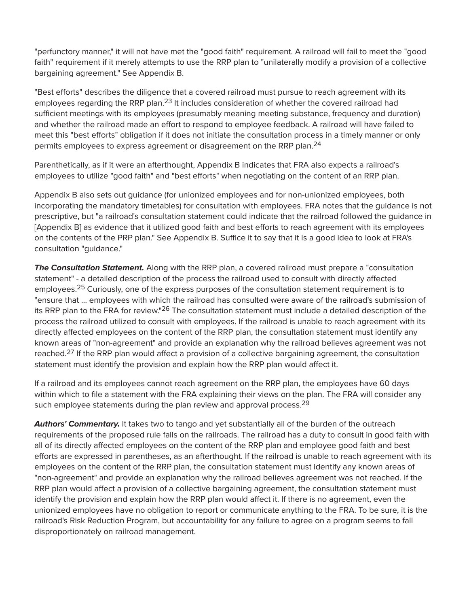"perfunctory manner," it will not have met the "good faith" requirement. A railroad will fail to meet the "good faith" requirement if it merely attempts to use the RRP plan to "unilaterally modify a provision of a collective bargaining agreement." See Appendix B.

"Best efforts" describes the diligence that a covered railroad must pursue to reach agreement with its employees regarding the RRP plan.<sup>23</sup> It includes consideration of whether the covered railroad had sufficient meetings with its employees (presumably meaning meeting substance, frequency and duration) and whether the railroad made an effort to respond to employee feedback. A railroad will have failed to meet this "best efforts" obligation if it does not initiate the consultation process in a timely manner or only permits employees to express agreement or disagreement on the RRP plan.24

Parenthetically, as if it were an afterthought, Appendix B indicates that FRA also expects a railroad's employees to utilize "good faith" and "best efforts" when negotiating on the content of an RRP plan.

Appendix B also sets out guidance (for unionized employees and for non-unionized employees, both incorporating the mandatory timetables) for consultation with employees. FRA notes that the guidance is not prescriptive, but "a railroad's consultation statement could indicate that the railroad followed the guidance in [Appendix B] as evidence that it utilized good faith and best efforts to reach agreement with its employees on the contents of the PRP plan." See Appendix B. Suffice it to say that it is a good idea to look at FRA's consultation "guidance."

**The Consultation Statement.** Along with the RRP plan, a covered railroad must prepare a "consultation" statement" - a detailed description of the process the railroad used to consult with directly affected employees.<sup>25</sup> Curiously, one of the express purposes of the consultation statement requirement is to "ensure that … employees with which the railroad has consulted were aware of the railroad's submission of its RRP plan to the FRA for review."<sup>26</sup> The consultation statement must include a detailed description of the process the railroad utilized to consult with employees. If the railroad is unable to reach agreement with its directly affected employees on the content of the RRP plan, the consultation statement must identify any known areas of "non-agreement" and provide an explanation why the railroad believes agreement was not reached.<sup>27</sup> If the RRP plan would affect a provision of a collective bargaining agreement, the consultation statement must identify the provision and explain how the RRP plan would affect it.

If a railroad and its employees cannot reach agreement on the RRP plan, the employees have 60 days within which to file a statement with the FRA explaining their views on the plan. The FRA will consider any such employee statements during the plan review and approval process.<sup>29</sup>

**Authors' Commentary.** It takes two to tango and yet substantially all of the burden of the outreach requirements of the proposed rule falls on the railroads. The railroad has a duty to consult in good faith with all of its directly affected employees on the content of the RRP plan and employee good faith and best efforts are expressed in parentheses, as an afterthought. If the railroad is unable to reach agreement with its employees on the content of the RRP plan, the consultation statement must identify any known areas of "non-agreement" and provide an explanation why the railroad believes agreement was not reached. If the RRP plan would affect a provision of a collective bargaining agreement, the consultation statement must identify the provision and explain how the RRP plan would affect it. If there is no agreement, even the unionized employees have no obligation to report or communicate anything to the FRA. To be sure, it is the railroad's Risk Reduction Program, but accountability for any failure to agree on a program seems to fall disproportionately on railroad management.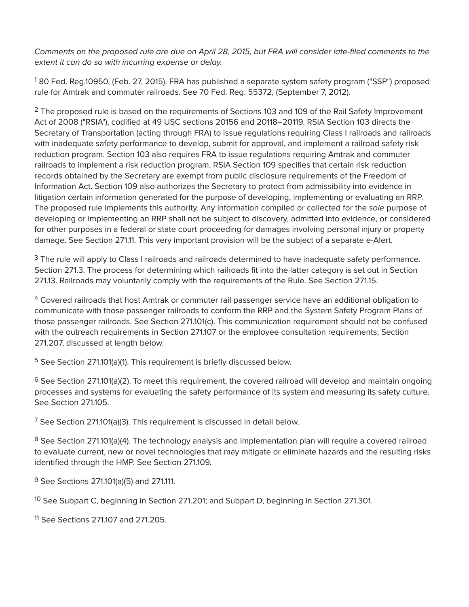*Comments on the proposed rule are due on April 28, 2015, but FRA will consider late-filed comments to the extent it can do so with incurring expense or delay.* 

<sup>1</sup> 80 Fed. Reg.10950, (Feb. 27, 2015). FRA has published a separate system safety program ("SSP") proposed rule for Amtrak and commuter railroads. See 70 Fed. Reg. 55372, (September 7, 2012).

 $2$  The proposed rule is based on the requirements of Sections 103 and 109 of the Rail Safety Improvement Act of 2008 ("RSIA"), codified at 49 USC sections 20156 and 20118–20119. RSIA Section 103 directs the Secretary of Transportation (acting through FRA) to issue regulations requiring Class I railroads and railroads with inadequate safety performance to develop, submit for approval, and implement a railroad safety risk reduction program. Section 103 also requires FRA to issue regulations requiring Amtrak and commuter railroads to implement a risk reduction program. RSIA Section 109 specifies that certain risk reduction records obtained by the Secretary are exempt from public disclosure requirements of the Freedom of Information Act. Section 109 also authorizes the Secretary to protect from admissibility into evidence in litigation certain information generated for the purpose of developing, implementing or evaluating an RRP. The proposed rule implements this authority. Any information compiled or collected for the *sole* purpose of developing or implementing an RRP shall not be subject to discovery, admitted into evidence, or considered for other purposes in a federal or state court proceeding for damages involving personal injury or property damage. See Section 271.11. This very important provision will be the subject of a separate e-Alert.

<sup>3</sup> The rule will apply to Class I railroads and railroads determined to have inadequate safety performance. Section 271.3. The process for determining which railroads fit into the latter category is set out in Section 271.13. Railroads may voluntarily comply with the requirements of the Rule. See Section 271.15.

<sup>4</sup> Covered railroads that host Amtrak or commuter rail passenger service have an additional obligation to communicate with those passenger railroads to conform the RRP and the System Safety Program Plans of those passenger railroads. See Section 271.101(c). This communication requirement should not be confused with the outreach requirements in Section 271.107 or the employee consultation requirements, Section 271.207, discussed at length below.

<sup>5</sup> See Section 271.101(a)(1). This requirement is briefly discussed below.

 $6$  See Section 271.101(a)(2). To meet this requirement, the covered railroad will develop and maintain ongoing processes and systems for evaluating the safety performance of its system and measuring its safety culture. See Section 271.105.

 $7$  See Section 271.101(a)(3). This requirement is discussed in detail below.

<sup>8</sup> See Section 271.101(a)(4). The technology analysis and implementation plan will require a covered railroad to evaluate current, new or novel technologies that may mitigate or eliminate hazards and the resulting risks identified through the HMP. See Section 271.109.

<sup>9</sup> See Sections 271.101(a)(5) and 271.111.

<sup>10</sup> See Subpart C, beginning in Section 271.201; and Subpart D, beginning in Section 271.301.

11 See Sections 271.107 and 271.205.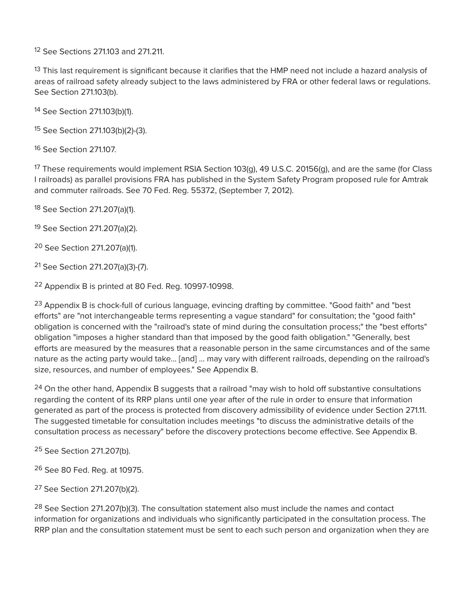12 See Sections 271.103 and 271.211.

<sup>13</sup> This last requirement is significant because it clarifies that the HMP need not include a hazard analysis of areas of railroad safety already subject to the laws administered by FRA or other federal laws or regulations. See Section 271.103(b).

14 See Section 271.103(b)(1).

15 See Section 271.103(b)(2)-(3).

16 See Section 271.107.

<sup>17</sup> These requirements would implement RSIA Section 103(g), 49 U.S.C. 20156(g), and are the same (for Class I railroads) as parallel provisions FRA has published in the System Safety Program proposed rule for Amtrak and commuter railroads. See 70 Fed. Reg. 55372, (September 7, 2012).

18 See Section 271.207(a)(1).

19 See Section 271.207(a)(2).

20 See Section 271.207(a)(1).

21 See Section 271.207(a)(3)-(7).

22 Appendix B is printed at 80 Fed. Reg. 10997-10998.

<sup>23</sup> Appendix B is chock-full of curious language, evincing drafting by committee. "Good faith" and "best efforts" are "not interchangeable terms representing a vague standard" for consultation; the "good faith" obligation is concerned with the "railroad's state of mind during the consultation process;" the "best efforts" obligation "imposes a higher standard than that imposed by the good faith obligation." "Generally, best efforts are measured by the measures that a reasonable person in the same circumstances and of the same nature as the acting party would take… [and] … may vary with different railroads, depending on the railroad's size, resources, and number of employees." See Appendix B.

 $24$  On the other hand, Appendix B suggests that a railroad "may wish to hold off substantive consultations regarding the content of its RRP plans until one year after of the rule in order to ensure that information generated as part of the process is protected from discovery admissibility of evidence under Section 271.11. The suggested timetable for consultation includes meetings "to discuss the administrative details of the consultation process as necessary" before the discovery protections become effective. See Appendix B.

25 See Section 271.207(b).

26 See 80 Fed. Reg. at 10975.

27 See Section 271.207(b)(2).

 $28$  See Section 271.207(b)(3). The consultation statement also must include the names and contact information for organizations and individuals who significantly participated in the consultation process. The RRP plan and the consultation statement must be sent to each such person and organization when they are